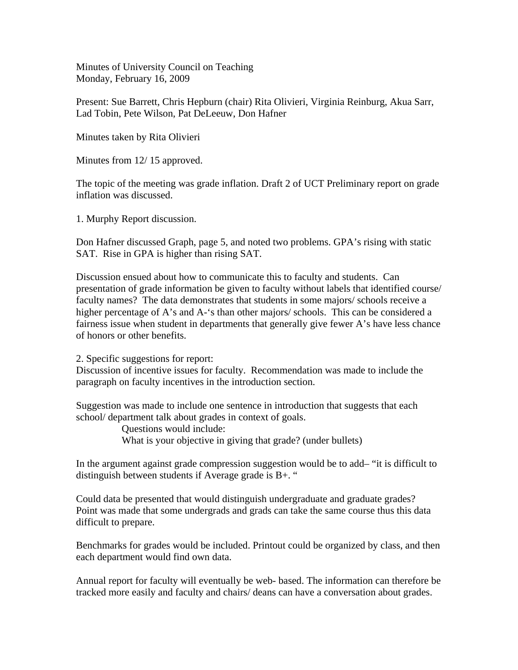Minutes of University Council on Teaching Monday, February 16, 2009

Present: Sue Barrett, Chris Hepburn (chair) Rita Olivieri, Virginia Reinburg, Akua Sarr, Lad Tobin, Pete Wilson, Pat DeLeeuw, Don Hafner

Minutes taken by Rita Olivieri

Minutes from 12/ 15 approved.

The topic of the meeting was grade inflation. Draft 2 of UCT Preliminary report on grade inflation was discussed.

1. Murphy Report discussion.

Don Hafner discussed Graph, page 5, and noted two problems. GPA's rising with static SAT. Rise in GPA is higher than rising SAT.

Discussion ensued about how to communicate this to faculty and students. Can presentation of grade information be given to faculty without labels that identified course/ faculty names? The data demonstrates that students in some majors/ schools receive a higher percentage of A's and A-'s than other majors/ schools. This can be considered a fairness issue when student in departments that generally give fewer A's have less chance of honors or other benefits.

2. Specific suggestions for report:

Discussion of incentive issues for faculty. Recommendation was made to include the paragraph on faculty incentives in the introduction section.

Suggestion was made to include one sentence in introduction that suggests that each school/ department talk about grades in context of goals.

> Questions would include: What is your objective in giving that grade? (under bullets)

In the argument against grade compression suggestion would be to add– "it is difficult to distinguish between students if Average grade is B+. "

Could data be presented that would distinguish undergraduate and graduate grades? Point was made that some undergrads and grads can take the same course thus this data difficult to prepare.

Benchmarks for grades would be included. Printout could be organized by class, and then each department would find own data.

Annual report for faculty will eventually be web- based. The information can therefore be tracked more easily and faculty and chairs/ deans can have a conversation about grades.